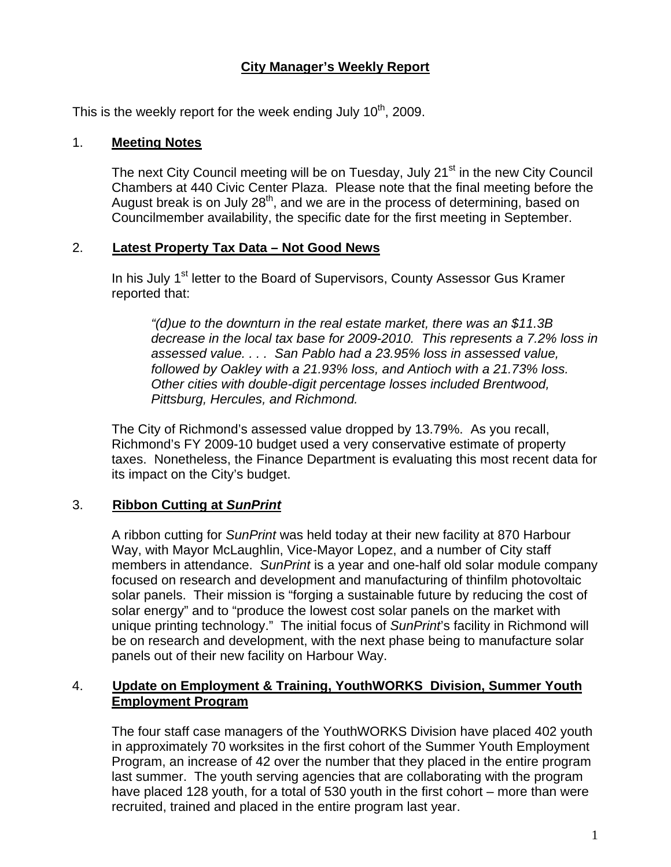## **City Manager's Weekly Report**

This is the weekly report for the week ending July  $10<sup>th</sup>$ , 2009.

### 1. **Meeting Notes**

The next City Council meeting will be on Tuesday, July 21<sup>st</sup> in the new City Council Chambers at 440 Civic Center Plaza. Please note that the final meeting before the August break is on July  $28<sup>th</sup>$ , and we are in the process of determining, based on Councilmember availability, the specific date for the first meeting in September.

### 2. **Latest Property Tax Data – Not Good News**

In his July 1<sup>st</sup> letter to the Board of Supervisors, County Assessor Gus Kramer reported that:

*"(d)ue to the downturn in the real estate market, there was an \$11.3B decrease in the local tax base for 2009-2010. This represents a 7.2% loss in assessed value. . . . San Pablo had a 23.95% loss in assessed value, followed by Oakley with a 21.93% loss, and Antioch with a 21.73% loss. Other cities with double-digit percentage losses included Brentwood, Pittsburg, Hercules, and Richmond.* 

The City of Richmond's assessed value dropped by 13.79%. As you recall, Richmond's FY 2009-10 budget used a very conservative estimate of property taxes. Nonetheless, the Finance Department is evaluating this most recent data for its impact on the City's budget.

## 3. **Ribbon Cutting at** *SunPrint*

A ribbon cutting for *SunPrint* was held today at their new facility at 870 Harbour Way, with Mayor McLaughlin, Vice-Mayor Lopez, and a number of City staff members in attendance. *SunPrint* is a year and one-half old solar module company focused on research and development and manufacturing of thinfilm photovoltaic solar panels. Their mission is "forging a sustainable future by reducing the cost of solar energy" and to "produce the lowest cost solar panels on the market with unique printing technology." The initial focus of *SunPrint*'s facility in Richmond will be on research and development, with the next phase being to manufacture solar panels out of their new facility on Harbour Way.

## 4. **Update on Employment & Training, YouthWORKS Division, Summer Youth Employment Program**

The four staff case managers of the YouthWORKS Division have placed 402 youth in approximately 70 worksites in the first cohort of the Summer Youth Employment Program, an increase of 42 over the number that they placed in the entire program last summer. The youth serving agencies that are collaborating with the program have placed 128 youth, for a total of 530 youth in the first cohort – more than were recruited, trained and placed in the entire program last year.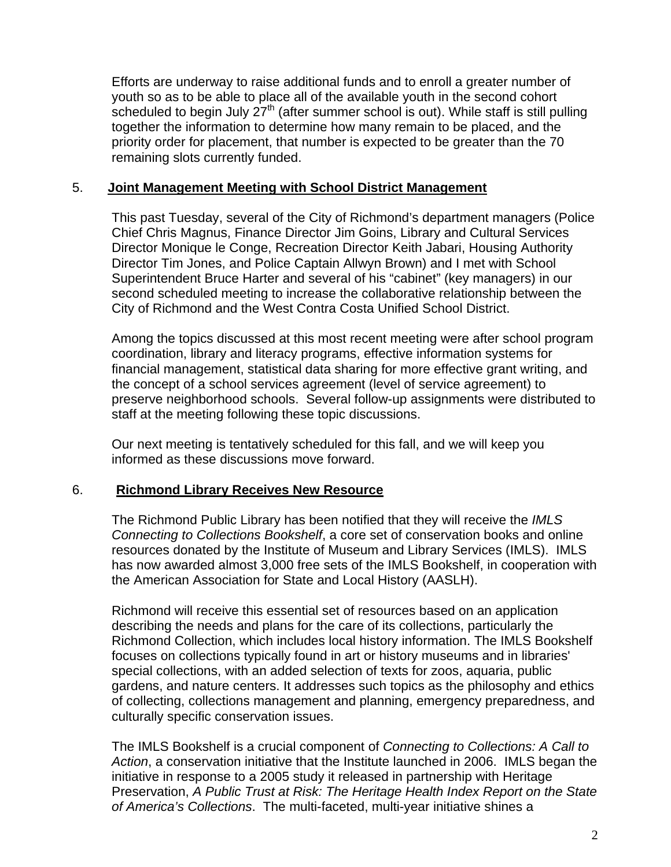Efforts are underway to raise additional funds and to enroll a greater number of youth so as to be able to place all of the available youth in the second cohort scheduled to begin July  $27<sup>th</sup>$  (after summer school is out). While staff is still pulling together the information to determine how many remain to be placed, and the priority order for placement, that number is expected to be greater than the 70 remaining slots currently funded.

#### 5. **Joint Management Meeting with School District Management**

This past Tuesday, several of the City of Richmond's department managers (Police Chief Chris Magnus, Finance Director Jim Goins, Library and Cultural Services Director Monique le Conge, Recreation Director Keith Jabari, Housing Authority Director Tim Jones, and Police Captain Allwyn Brown) and I met with School Superintendent Bruce Harter and several of his "cabinet" (key managers) in our second scheduled meeting to increase the collaborative relationship between the City of Richmond and the West Contra Costa Unified School District.

Among the topics discussed at this most recent meeting were after school program coordination, library and literacy programs, effective information systems for financial management, statistical data sharing for more effective grant writing, and the concept of a school services agreement (level of service agreement) to preserve neighborhood schools. Several follow-up assignments were distributed to staff at the meeting following these topic discussions.

Our next meeting is tentatively scheduled for this fall, and we will keep you informed as these discussions move forward.

#### 6. **Richmond Library Receives New Resource**

The Richmond Public Library has been notified that they will receive the *IMLS Connecting to Collections Bookshelf*, a core set of conservation books and online resources donated by the Institute of Museum and Library Services (IMLS). IMLS has now awarded almost 3,000 free sets of the IMLS Bookshelf, in cooperation with the American Association for State and Local History (AASLH).

Richmond will receive this essential set of resources based on an application describing the needs and plans for the care of its collections, particularly the Richmond Collection, which includes local history information. The IMLS Bookshelf focuses on collections typically found in art or history museums and in libraries' special collections, with an added selection of texts for zoos, aquaria, public gardens, and nature centers. It addresses such topics as the philosophy and ethics of collecting, collections management and planning, emergency preparedness, and culturally specific conservation issues.

The IMLS Bookshelf is a crucial component of *Connecting to Collections: A Call to Action*, a conservation initiative that the Institute launched in 2006. IMLS began the initiative in response to a 2005 study it released in partnership with Heritage Preservation, *A Public Trust at Risk: The Heritage Health Index Report on the State of America's Collections*. The multi-faceted, multi-year initiative shines a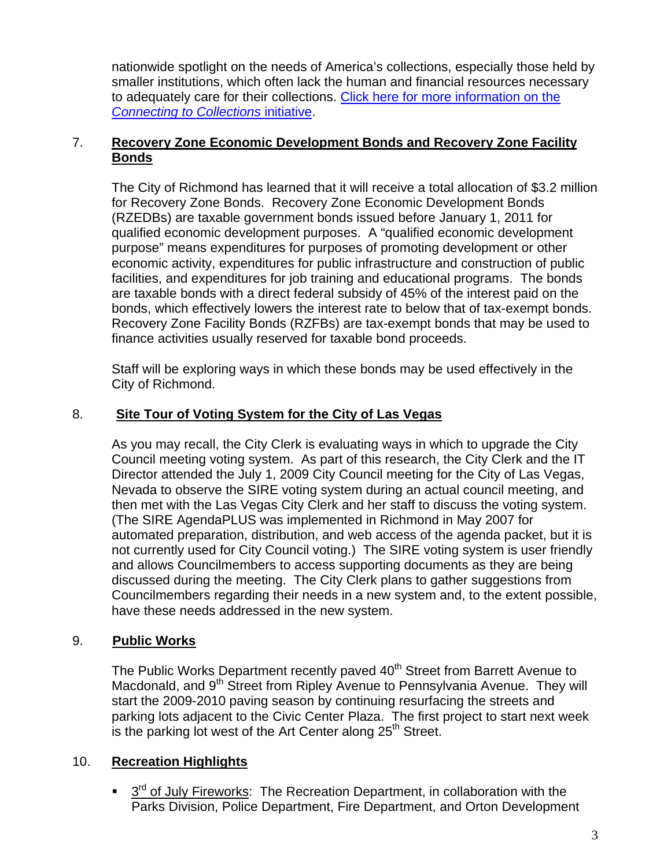nationwide spotlight on the needs of America's collections, especially those held by smaller institutions, which often lack the human and financial resources necessary to adequately care for their collections. [Click here for more information on the](http://www.imls.gov/news/2007/www.imls.gov/collections)  *[Connecting to Collections](http://www.imls.gov/news/2007/www.imls.gov/collections)* initiative.

### 7. **Recovery Zone Economic Development Bonds and Recovery Zone Facility Bonds**

The City of Richmond has learned that it will receive a total allocation of \$3.2 million for Recovery Zone Bonds. Recovery Zone Economic Development Bonds (RZEDBs) are taxable government bonds issued before January 1, 2011 for qualified economic development purposes. A "qualified economic development purpose" means expenditures for purposes of promoting development or other economic activity, expenditures for public infrastructure and construction of public facilities, and expenditures for job training and educational programs. The bonds are taxable bonds with a direct federal subsidy of 45% of the interest paid on the bonds, which effectively lowers the interest rate to below that of tax-exempt bonds. Recovery Zone Facility Bonds (RZFBs) are tax-exempt bonds that may be used to finance activities usually reserved for taxable bond proceeds.

Staff will be exploring ways in which these bonds may be used effectively in the City of Richmond.

# 8. **Site Tour of Voting System for the City of Las Vegas**

As you may recall, the City Clerk is evaluating ways in which to upgrade the City Council meeting voting system. As part of this research, the City Clerk and the IT Director attended the July 1, 2009 City Council meeting for the City of Las Vegas, Nevada to observe the SIRE voting system during an actual council meeting, and then met with the Las Vegas City Clerk and her staff to discuss the voting system. (The SIRE AgendaPLUS was implemented in Richmond in May 2007 for automated preparation, distribution, and web access of the agenda packet, but it is not currently used for City Council voting.) The SIRE voting system is user friendly and allows Councilmembers to access supporting documents as they are being discussed during the meeting. The City Clerk plans to gather suggestions from Councilmembers regarding their needs in a new system and, to the extent possible, have these needs addressed in the new system.

## 9. **Public Works**

The Public Works Department recently paved 40<sup>th</sup> Street from Barrett Avenue to Macdonald, and 9<sup>th</sup> Street from Ripley Avenue to Pennsylvania Avenue. They will start the 2009-2010 paving season by continuing resurfacing the streets and parking lots adjacent to the Civic Center Plaza. The first project to start next week is the parking lot west of the Art Center along  $25<sup>th</sup>$  Street.

## 10. **Recreation Highlights**

 $\frac{3^{rd}}{d}$  of July Fireworks: The Recreation Department, in collaboration with the Parks Division, Police Department, Fire Department, and Orton Development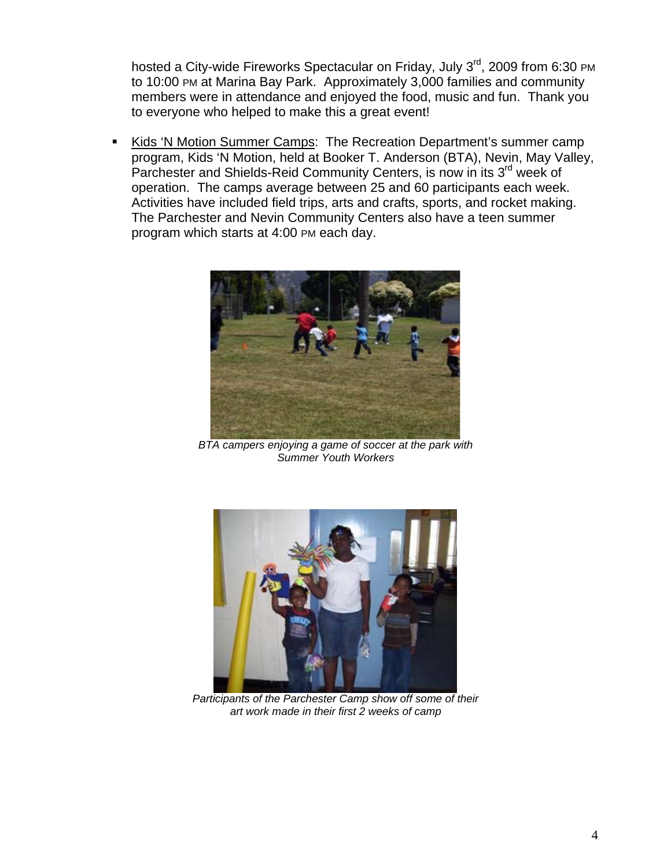hosted a City-wide Fireworks Spectacular on Friday, July 3<sup>rd</sup>, 2009 from 6:30 PM to 10:00 PM at Marina Bay Park. Approximately 3,000 families and community members were in attendance and enjoyed the food, music and fun. Thank you to everyone who helped to make this a great event!

Kids 'N Motion Summer Camps: The Recreation Department's summer camp program, Kids 'N Motion, held at Booker T. Anderson (BTA), Nevin, May Valley, Parchester and Shields-Reid Community Centers, is now in its 3<sup>rd</sup> week of operation. The camps average between 25 and 60 participants each week. Activities have included field trips, arts and crafts, sports, and rocket making. The Parchester and Nevin Community Centers also have a teen summer program which starts at 4:00 PM each day.



*BTA campers enjoying a game of soccer at the park with Summer Youth Workers* 



*Participants of the Parchester Camp show off some of their art work made in their first 2 weeks of camp*